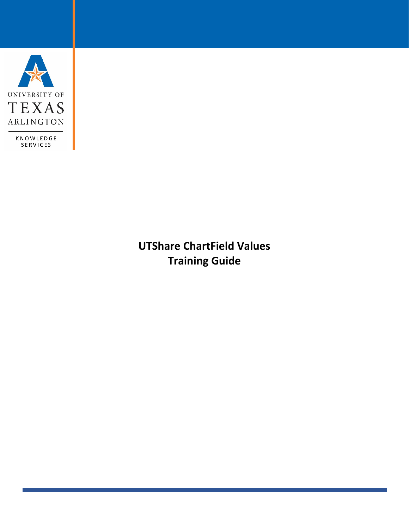

**UTShare ChartField Values Training Guide**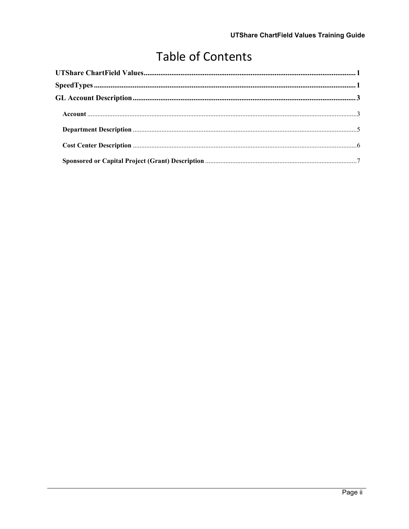# **Table of Contents**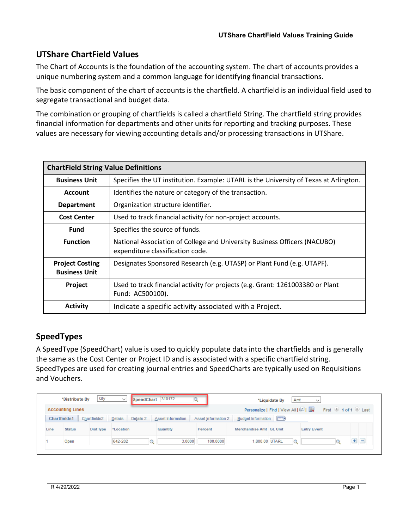# <span id="page-2-0"></span>**UTShare ChartField Values**

The Chart of Accounts is the foundation of the accounting system. The chart of accounts provides a unique numbering system and a common language for identifying financial transactions.

The basic component of the chart of accounts is the chartfield. A chartfield is an individual field used to segregate transactional and budget data.

The combination or grouping of chartfields is called a chartfield String. The chartfield string provides financial information for departments and other units for reporting and tracking purposes. These values are necessary for viewing accounting details and/or processing transactions in UTShare.

| <b>ChartField String Value Definitions</b>     |                                                                                                               |  |  |  |
|------------------------------------------------|---------------------------------------------------------------------------------------------------------------|--|--|--|
| <b>Business Unit</b>                           | Specifies the UT institution. Example: UTARL is the University of Texas at Arlington.                         |  |  |  |
| <b>Account</b>                                 | Identifies the nature or category of the transaction.                                                         |  |  |  |
| <b>Department</b>                              | Organization structure identifier.                                                                            |  |  |  |
| <b>Cost Center</b>                             | Used to track financial activity for non-project accounts.                                                    |  |  |  |
| <b>Fund</b>                                    | Specifies the source of funds.                                                                                |  |  |  |
| <b>Function</b>                                | National Association of College and University Business Officers (NACUBO)<br>expenditure classification code. |  |  |  |
| <b>Project Costing</b><br><b>Business Unit</b> | Designates Sponsored Research (e.g. UTASP) or Plant Fund (e.g. UTAPF).                                        |  |  |  |
| Project                                        | Used to track financial activity for projects (e.g. Grant: 1261003380 or Plant<br>Fund: AC500100).            |  |  |  |
| Activity                                       | Indicate a specific activity associated with a Project.                                                       |  |  |  |

# <span id="page-2-1"></span>**SpeedTypes**

A SpeedType (SpeedChart) value is used to quickly populate data into the chartfields and is generally the same as the Cost Center or Project ID and is associated with a specific chartfield string. SpeedTypes are used for creating journal entries and SpeedCharts are typically used on Requisitions and Vouchers.

| Qty<br>310172<br>*Distribute By<br>SpeedChart<br>$\checkmark$<br>Amt<br>*Liquidate By<br>$\checkmark$                                         |               |           |           |          |          |                         |         |                    |         |
|-----------------------------------------------------------------------------------------------------------------------------------------------|---------------|-----------|-----------|----------|----------|-------------------------|---------|--------------------|---------|
| First 1 of 1 b Last<br>Personalize   Find   View All   2  <br><b>Accounting Lines</b>                                                         |               |           |           |          |          |                         |         |                    |         |
| (EEE)<br><b>Budget Information</b><br>Details<br>Chartfields2<br>Details 2<br>Asset Information<br>Asset Information 2<br><b>Chartfields1</b> |               |           |           |          |          |                         |         |                    |         |
| Line                                                                                                                                          | <b>Status</b> | Dist Type | *Location | Quantity | Percent  | Merchandise Amt GL Unit |         | <b>Entry Event</b> |         |
|                                                                                                                                               | Open          |           | 642-202   | 3.0000   | 100.0000 | 1,800.00 UTARL          | $\circ$ |                    | $+$ $-$ |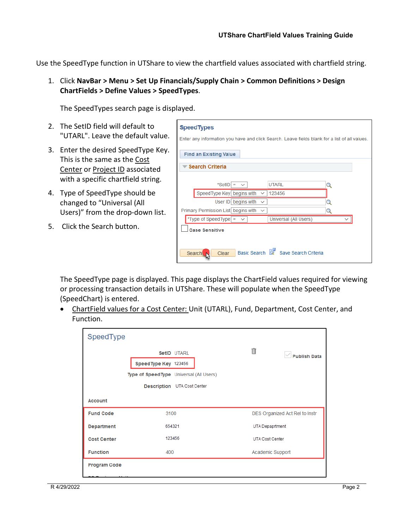Use the SpeedType function in UTShare to view the chartfield values associated with chartfield string.

1. Click **NavBar > Menu > Set Up Financials/Supply Chain > Common Definitions > Design ChartFields > Define Values > SpeedTypes**.

The SpeedTypes search page is displayed.

- 2. The SetID field will default to "UTARL". Leave the default value.
- 3. Enter the desired SpeedType Key. This is the same as the Cost Center or Project ID associated with a specific chartfield string.
- 4. Type of SpeedType should be changed to "Universal (All Users)" from the drop-down list.
- 5. Click the Search button.

| <b>SpeedTypes</b><br>Enter any information you have and click Search. Leave fields blank for a list of all values. |  |  |  |  |  |
|--------------------------------------------------------------------------------------------------------------------|--|--|--|--|--|
| <b>Find an Existing Value</b>                                                                                      |  |  |  |  |  |
| <b>Search Criteria</b>                                                                                             |  |  |  |  |  |
| *SetID = $\sqrt{ }$<br><b>UTARL</b>                                                                                |  |  |  |  |  |
| SpeedType Key begins with<br>123456<br>$\checkmark$                                                                |  |  |  |  |  |
| User ID begins with<br>$\checkmark$                                                                                |  |  |  |  |  |
| Primary Permission List begins with<br>$\checkmark$                                                                |  |  |  |  |  |
| *Type of SpeedType $=$<br>Universal (All Users)<br>$\checkmark$                                                    |  |  |  |  |  |
| <b>Case Sensitive</b>                                                                                              |  |  |  |  |  |
| Basic Search<br>Save Search Criteria<br>Search<br>Clear                                                            |  |  |  |  |  |

The SpeedType page is displayed. This page displays the ChartField values required for viewing or processing transaction details in UTShare. These will populate when the SpeedType (SpeedChart) is entered.

• ChartField values for a Cost Center: Unit (UTARL), Fund, Department, Cost Center, and Function.

| SpeedType                    |                                                                                  |                                |  |
|------------------------------|----------------------------------------------------------------------------------|--------------------------------|--|
|                              | SetID UTARL<br>Speed Type Key 123456<br>Type of Speed Type Universal (All Users) | 侖<br><b>Publish Data</b>       |  |
|                              | Description UTA Cost Center                                                      |                                |  |
| <b>Account</b>               |                                                                                  |                                |  |
| <b>Fund Code</b>             | 3100                                                                             | DES Organized Act Rel to Instr |  |
| <b>Department</b>            | 654321                                                                           | UTA Depaprtment                |  |
| 123456<br><b>Cost Center</b> |                                                                                  | <b>UTA Cost Center</b>         |  |
| <b>Function</b>              | 400                                                                              | Academic Support               |  |
| <b>Program Code</b>          |                                                                                  |                                |  |
| DO Dunianan Haif             |                                                                                  |                                |  |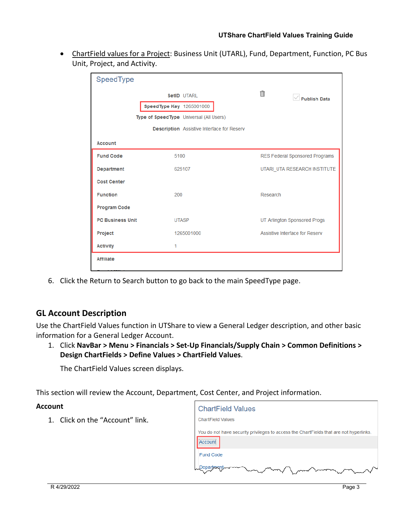• ChartField values for a Project: Business Unit (UTARL), Fund, Department, Function, PC Bus Unit, Project, and Activity.

| SpeedType               |                                                   |                                |
|-------------------------|---------------------------------------------------|--------------------------------|
|                         | SetID UTARL                                       | Ħ<br><b>Publish Data</b>       |
|                         | SpeedType Key 1265001000                          |                                |
|                         | Type of Speed Type Universal (All Users)          |                                |
|                         | <b>Description</b> Assistive Interface for Reserv |                                |
| <b>Account</b>          |                                                   |                                |
| <b>Fund Code</b>        | 5100                                              | RES Federal Sponsored Programs |
| <b>Department</b>       | 625107                                            | UTARI UTA RESEARCH INSTITUTE   |
| <b>Cost Center</b>      |                                                   |                                |
| <b>Function</b>         | 200                                               | Research                       |
| <b>Program Code</b>     |                                                   |                                |
| <b>PC Business Unit</b> | <b>UTASP</b>                                      | UT Arlington Sponsored Progs   |
| Project                 | 1265001000                                        | Assistive Interface for Reserv |
| <b>Activity</b>         | 1                                                 |                                |
| <b>Affiliate</b>        |                                                   |                                |
| $\mathbf{A}$            |                                                   |                                |

6. Click the Return to Search button to go back to the main SpeedType page.

## <span id="page-4-0"></span>**GL Account Description**

Use the ChartField Values function in UTShare to view a General Ledger description, and other basic information for a General Ledger Account.

1. Click **NavBar > Menu > Financials > Set-Up Financials/Supply Chain > Common Definitions > Design ChartFields > Define Values > ChartField Values**.

The ChartField Values screen displays.

This section will review the Account, Department, Cost Center, and Project information.

#### <span id="page-4-1"></span>**Account**

1. Click on the "Account" link.

| <b>ChartField Values</b>                                                                          |
|---------------------------------------------------------------------------------------------------|
| <b>ChartField Values</b>                                                                          |
| You do not have security privileges to access the ChartFields that are not hyperlinks.<br>Account |
| <b>Fund Code</b>                                                                                  |
| )epartment<br>سمائه مسموسه                                                                        |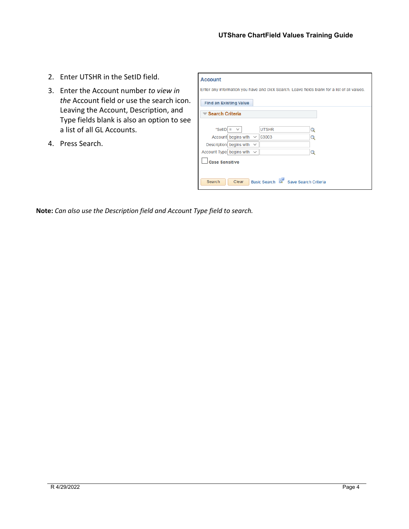- 2. Enter UTSHR in the SetID field.
- 3. Enter the Account number *to view in the* Account field or use the search icon. Leaving the Account, Description, and Type fields blank is also an option to see a list of all GL Accounts.
- 4. Press Search.

| <b>Account</b>                                          |                                                                                               |   |  |  |  |  |
|---------------------------------------------------------|-----------------------------------------------------------------------------------------------|---|--|--|--|--|
|                                                         | Enter any information you have and click Search. Leave fields blank for a list of all values. |   |  |  |  |  |
| <b>Find an Existing Value</b>                           |                                                                                               |   |  |  |  |  |
| <b>▼ Search Criteria</b>                                |                                                                                               |   |  |  |  |  |
|                                                         |                                                                                               |   |  |  |  |  |
| *SetID = $\times$                                       | <b>UTSHR</b>                                                                                  | Q |  |  |  |  |
| Account begins with $\sim$                              | 63003                                                                                         | Q |  |  |  |  |
| Description begins with $\sim$                          |                                                                                               |   |  |  |  |  |
| Account Type begins with $\sim$                         |                                                                                               | O |  |  |  |  |
| <b>Case Sensitive</b>                                   |                                                                                               |   |  |  |  |  |
| Basic Search<br>Save Search Criteria<br>Search<br>Clear |                                                                                               |   |  |  |  |  |

**Note:** *Can also use the Description field and Account Type field to search.*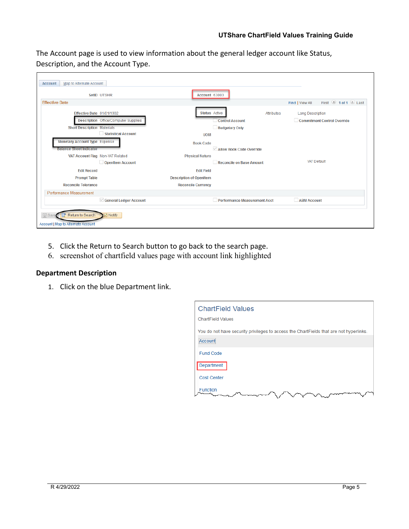The Account page is used to view information about the general ledger account like Status, Description, and the Account Type.

|                                                                        | SetID UTSHR                                                 | Account 63003                  |                                                 |                   |                                                               |
|------------------------------------------------------------------------|-------------------------------------------------------------|--------------------------------|-------------------------------------------------|-------------------|---------------------------------------------------------------|
| <b>Effective Date</b>                                                  |                                                             |                                |                                                 |                   | First 1 of 1 D Last<br>Find   View All                        |
| Effective Date 01/01/1902<br><b>Short Description Materials</b>        | <b>Description</b> Office/Computer Supplies                 | <b>Status</b> Active           | <b>Control Account</b><br><b>Budgetary Only</b> | <b>Attributes</b> | <b>Long Description</b><br><b>Commitment Control Override</b> |
|                                                                        | <b>Statistical Account</b>                                  | <b>UOM</b>                     |                                                 |                   |                                                               |
| <b>Monetary Account Type Expense</b><br><b>Balance Sheet Indicator</b> |                                                             | <b>Book Code</b>               | $\vee$ Allow Book Code Override                 |                   |                                                               |
|                                                                        | VAT Account Flag Non-VAT Related<br><b>OpenItem Account</b> | <b>Physical Nature</b>         | Reconcile on Base Amount                        |                   | <b>VAT Default</b>                                            |
| <b>Edit Record</b>                                                     |                                                             | <b>Edit Field</b>              |                                                 |                   |                                                               |
| <b>Prompt Table</b>                                                    |                                                             | <b>Description of OpenItem</b> |                                                 |                   |                                                               |
| <b>Reconcile Tolerance</b>                                             |                                                             | <b>Reconcile Currency</b>      |                                                 |                   |                                                               |
| Performance Measurement                                                |                                                             |                                |                                                 |                   |                                                               |
|                                                                        | General Ledger Account                                      |                                | <b>Performance Measurement Acct</b>             |                   | <b>ABM Account</b>                                            |
| <b>同</b> Sav<br>Return to Search                                       | $\equiv$ Notify                                             |                                |                                                 |                   |                                                               |

- 5. Click the Return to Search button to go back to the search page.
- 6. screenshot of chartfield values page with account link highlighted

### <span id="page-6-0"></span>**Department Description**

1. Click on the blue Department link.

| <b>ChartField Values</b>                                                               |
|----------------------------------------------------------------------------------------|
| <b>ChartField Values</b>                                                               |
| You do not have security privileges to access the ChartFields that are not hyperlinks. |
| Account                                                                                |
| <b>Fund Code</b>                                                                       |
| Department                                                                             |
| <b>Cost Center</b>                                                                     |
| <b>Function</b>                                                                        |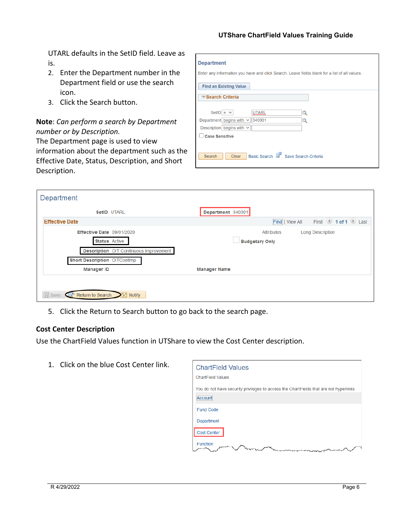UTARL defaults in the SetID field. Leave as is.

- 2. Enter the Department number in the Department field or use the search icon.
- 3. Click the Search button.

## **Note**: *Can perform a search by Department number or by Description.*

The Department page is used to view information about the department such as the Effective Date, Status, Description, and Short Description.

| <b>Department</b><br>Enter any information you have and click Search. Leave fields blank for a list of all values. |  |  |  |  |  |
|--------------------------------------------------------------------------------------------------------------------|--|--|--|--|--|
| <b>Find an Existing Value</b>                                                                                      |  |  |  |  |  |
| <del>■</del> Search Criteria                                                                                       |  |  |  |  |  |
| SetID = $\vee$<br><b>UTARL</b><br>Q<br>Department begins with $\vee$ 340301<br>Q                                   |  |  |  |  |  |
| Description begins with $\vee$<br><b>Case Sensitive</b>                                                            |  |  |  |  |  |
| <b>Basic Search</b><br>Save Search Criteria<br>Search<br>Clear                                                     |  |  |  |  |  |

| Department                                           |                                               |                                            |                 |                         |
|------------------------------------------------------|-----------------------------------------------|--------------------------------------------|-----------------|-------------------------|
| SetID UTARL                                          |                                               | Department 340301                          |                 |                         |
| <b>Effective Date</b>                                |                                               |                                            | Find   View All | First 1 of 1 2 Last     |
| Effective Date 09/01/2020<br><b>Status</b> Active    |                                               | <b>Attributes</b><br><b>Budgetary Only</b> |                 | <b>Long Description</b> |
|                                                      | <b>Description</b> OIT Continuous Improvement |                                            |                 |                         |
| Short Description OITContImp<br><b>Manager ID</b>    |                                               | <b>Manager Name</b>                        |                 |                         |
|                                                      |                                               |                                            |                 |                         |
| Save <b>O</b> <sup>t</sup> Return to Search E Notify |                                               |                                            |                 |                         |

5. Click the Return to Search button to go back to the search page.

#### <span id="page-7-0"></span>**Cost Center Description**

Use the ChartField Values function in UTShare to view the Cost Center description.

1. Click on the blue Cost Center link.

| <b>ChartField Values</b>                                                               |
|----------------------------------------------------------------------------------------|
| <b>ChartField Values</b>                                                               |
| You do not have security privileges to access the ChartFields that are not hyperlinks. |
| Account                                                                                |
| <b>Fund Code</b>                                                                       |
| Department                                                                             |
| Cost Center                                                                            |
| <b>Function</b>                                                                        |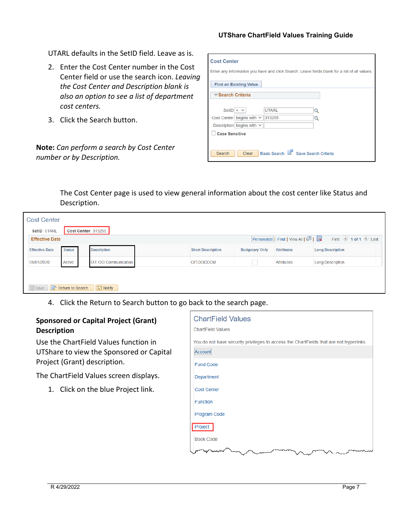#### **UTShare ChartField Values Training Guide**

UTARL defaults in the SetID field. Leave as is.

- 2. Enter the Cost Center number in the Cost Center field or use the search icon. *Leaving the Cost Center and Description blank is also an option to see a list of department cost centers.*
- 3. Click the Search button.

**Note:** *Can perform a search by Cost Center number or by Description.*

| <b>Cost Center</b>                                                                            |              |   |  |
|-----------------------------------------------------------------------------------------------|--------------|---|--|
| Enter any information you have and click Search. Leave fields blank for a list of all values. |              |   |  |
| <b>Find an Existing Value</b>                                                                 |              |   |  |
| ■ Search Criteria                                                                             |              |   |  |
| SetID = $\vee$                                                                                | <b>UTARL</b> | Q |  |
| Cost Center begins with $\vee$                                                                | 313255       |   |  |
| Description begins with $\vee$                                                                |              |   |  |
| <b>Case Sensitive</b>                                                                         |              |   |  |
|                                                                                               |              |   |  |
| Basic Search<br>Save Search Criteria<br>Search<br>Clear                                       |              |   |  |

The Cost Center page is used to view general information about the cost center like Status and Description.

| <b>Cost Center</b>                                                                |                       |                          |                       |                   |                         |  |
|-----------------------------------------------------------------------------------|-----------------------|--------------------------|-----------------------|-------------------|-------------------------|--|
| SetID UTARL<br>Cost Center 313255                                                 |                       |                          |                       |                   |                         |  |
| First 1 of 1 Last<br>Personalize   Find   View All   0  <br><b>Effective Date</b> |                       |                          |                       |                   |                         |  |
| <b>Status</b>                                                                     | <b>Description</b>    | <b>Short Description</b> | <b>Budgetary Only</b> | <b>Attributes</b> | <b>Long Description</b> |  |
| Active                                                                            | OIT OCI Communication | <b>OITOCICCOM</b>        |                       | <b>Attributes</b> | <b>Long Description</b> |  |
|                                                                                   |                       |                          |                       |                   |                         |  |
| Save <b>of Return to Search</b>                                                   |                       |                          |                       |                   |                         |  |
|                                                                                   |                       | $\boxed{\equiv}$ Notify  |                       |                   |                         |  |

4. Click the Return to Search button to go back to the search page.

#### <span id="page-8-0"></span>**Sponsored or Capital Project (Grant) Description**

Use the ChartField Values function in UTShare to view the Sponsored or Capital Project (Grant) description.

The ChartField Values screen displays.

1. Click on the blue Project link.

| <b>ChartField Values</b>                                                               |
|----------------------------------------------------------------------------------------|
| <b>ChartField Values</b>                                                               |
| You do not have security privileges to access the ChartFields that are not hyperlinks. |
| Account                                                                                |
| <b>Fund Code</b>                                                                       |
| Department                                                                             |
| <b>Cost Center</b>                                                                     |
| Function                                                                               |
| Program Code                                                                           |
| Project                                                                                |
| <b>Book Code</b>                                                                       |
|                                                                                        |